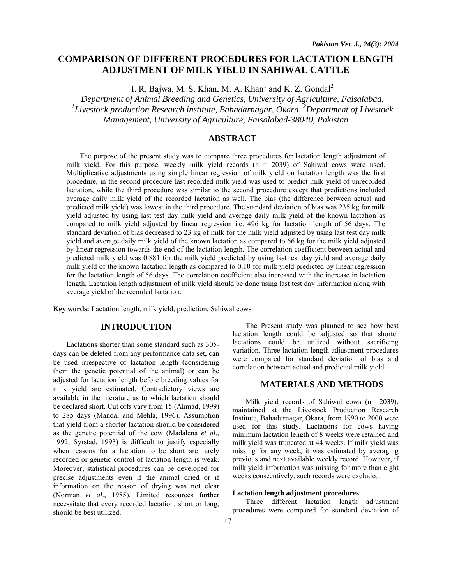# **COMPARISON OF DIFFERENT PROCEDURES FOR LACTATION LENGTH ADJUSTMENT OF MILK YIELD IN SAHIWAL CATTLE**

I. R. Bajwa, M. S. Khan, M. A. Khan<sup>1</sup> and K. Z. Gondal<sup>2</sup>

*Department of Animal Breeding and Genetics, University of Agriculture, Faisalabad,*  <sup>1</sup>Livestock production Research institute, Bahadarnagar, Okara, <sup>2</sup>Department of Livestock *Management, University of Agriculture, Faisalabad-38040, Pakistan* 

## **ABSTRACT**

The purpose of the present study was to compare three procedures for lactation length adjustment of milk yield. For this purpose, weekly milk yield records  $(n = 2039)$  of Sahiwal cows were used. Multiplicative adjustments using simple linear regression of milk yield on lactation length was the first procedure, in the second procedure last recorded milk yield was used to predict milk yield of unrecorded lactation, while the third procedure was similar to the second procedure except that predictions included average daily milk yield of the recorded lactation as well. The bias (the difference between actual and predicted milk yield) was lowest in the third procedure. The standard deviation of bias was 235 kg for milk yield adjusted by using last test day milk yield and average daily milk yield of the known lactation as compared to milk yield adjusted by linear regression i.e. 496 kg for lactation length of 56 days. The standard deviation of bias decreased to 23 kg of milk for the milk yield adjusted by using last test day milk yield and average daily milk yield of the known lactation as compared to 66 kg for the milk yield adjusted by linear regression towards the end of the lactation length. The correlation coefficient between actual and predicted milk yield was 0.881 for the milk yield predicted by using last test day yield and average daily milk yield of the known lactation length as compared to 0.10 for milk yield predicted by linear regression for the lactation length of 56 days. The correlation coefficient also increased with the increase in lactation length. Lactation length adjustment of milk yield should be done using last test day information along with average yield of the recorded lactation.

**Key words:** Lactation length, milk yield, prediction, Sahiwal cows.

## **INTRODUCTION**

Lactations shorter than some standard such as 305 days can be deleted from any performance data set, can be used irrespective of lactation length (considering them the genetic potential of the animal) or can be adjusted for lactation length before breeding values for milk yield are estimated. Contradictory views are available in the literature as to which lactation should be declared short. Cut offs vary from 15 (Ahmad, 1999) to 285 days (Mandal and Mehla, 1996). Assumption that yield from a shorter lactation should be considered as the genetic potential of the cow (Madalena *et al*., 1992; Syrstad, 1993) is difficult to justify especially when reasons for a lactation to be short are rarely recorded or genetic control of lactation length is weak. Moreover, statistical procedures can be developed for precise adjustments even if the animal dried or if information on the reason of drying was not clear (Norman *et al*., 1985). Limited resources further necessitate that every recorded lactation, short or long, should be best utilized.

lactation length could be adjusted so that shorter lactations could be utilized without sacrificing variation. Three lactation length adjustment procedures were compared for standard deviation of bias and correlation between actual and predicted milk yield. **MATERIALS AND METHODS** 

The Present study was planned to see how best

Milk yield records of Sahiwal cows (n= 2039), maintained at the Livestock Production Research Institute, Bahadurnagar, Okara, from 1990 to 2000 were used for this study. Lactations for cows having minimum lactation length of 8 weeks were retained and milk yield was truncated at 44 weeks. If milk yield was missing for any week, it was estimated by averaging previous and next available weekly record. However, if milk yield information was missing for more than eight weeks consecutively, such records were excluded.

#### **Lactation length adjustment procedures**

Three different lactation length adjustment procedures were compared for standard deviation of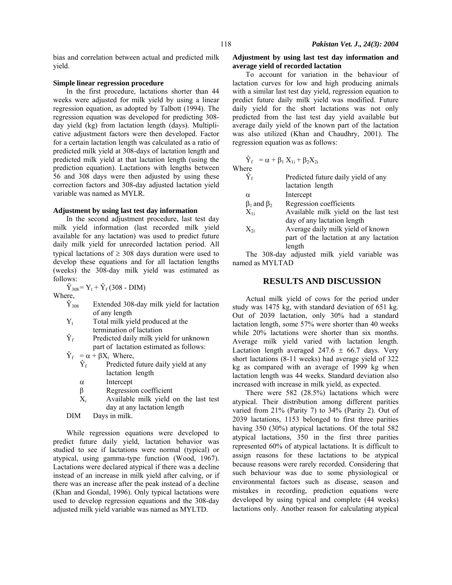bias and correlation between actual and predicted milk yield.

#### **Simple linear regression procedure**

In the first procedure, lactations shorter than 44 weeks were adjusted for milk yield by using a linear regression equation, as adopted by Talbott (1994). The regression equation was developed for predicting 308 day yield (kg) from lactation length (days). Multiplicative adjustment factors were then developed. Factor for a certain lactation length was calculated as a ratio of predicted milk yield at 308-days of lactation length and predicted milk yield at that lactation length (using the prediction equation). Lactations with lengths between 56 and 308 days were then adjusted by using these correction factors and 308-day adjusted lactation yield variable was named as MYLR.

#### **Adjustment by using last test day information**

In the second adjustment procedure, last test day milk yield information (last recorded milk yield available for any lactation) was used to predict future daily milk yield for unrecorded lactation period. All typical lactations of  $\geq$  308 days duration were used to develop these equations and for all lactation lengths (weeks) the 308-day milk yield was estimated as follows:

 $\hat{Y}_{308} = Y_t + \hat{Y}_f (308 - DIM)$ Where,

- $\hat{Y}_{308}$  Extended 308-day milk yield for lactation of any length
- $Y_t$  Total milk yield produced at the termination of lactation<br> $\hat{Y}_f$  Predicted daily milk yie
- Predicted daily milk yield for unknown part of lactation estimated as follows:
- $\hat{Y}_f = \alpha + \beta X_i$  Where,
	- $\hat{Y}_f$  Predicted future daily yield at any lactation length
	- α Intercept
	- β Regression coefficient
	- $X_i$  Available milk yield on the last test day at any lactation length
- DIM Days in milk.

 While regression equations were developed to predict future daily yield, lactation behavior was studied to see if lactations were normal (typical) or atypical, using gamma-type function (Wood, 1967). Lactations were declared atypical if there was a decline instead of an increase in milk yield after calving, or if there was an increase after the peak instead of a decline (Khan and Gondal, 1996). Only typical lactations were used to develop regression equations and the 308-day adjusted milk yield variable was named as MYLTD.

#### **Adjustment by using last test day information and average yield of recorded lactation**

To account for variation in the behaviour of lactation curves for low and high producing animals with a similar last test day yield, regression equation to predict future daily milk yield was modified. Future daily yield for the short lactations was not only predicted from the last test day yield available but average daily yield of the known part of the lactation was also utilized (Khan and Chaudhry, 2001). The regression equation was as follows:

$$
\hat{Y}_f = \alpha + \beta_1 X_{1i} + \beta_2 X_{2i}
$$
 Where

| ,,,,,,,                 |                                        |
|-------------------------|----------------------------------------|
| $\rm \hat{Y}_{\rm f}$   | Predicted future daily yield of any    |
|                         | lactation length                       |
| α                       | Intercept                              |
| $\beta_1$ and $\beta_2$ | Regression coefficients                |
| $X_{1i}$                | Available milk yield on the last test  |
|                         | day of any lactation length            |
| $X_{2i}$                | Average daily milk yield of known      |
|                         | part of the lactation at any lactation |
|                         | length                                 |
|                         |                                        |

The 308-day adjusted milk yield variable was named as MYLTAD

### **RESULTS AND DISCUSSION**

Actual milk yield of cows for the period under study was 1475 kg, with standard deviation of 651 kg. Out of 2039 lactation, only 30% had a standard lactation length, some 57% were shorter than 40 weeks while 20% lactations were shorter than six months. Average milk yield varied with lactation length. Lactation length averaged 247.6  $\pm$  66.7 days. Very short lactations (8-11 weeks) had average yield of 322 kg as compared with an average of 1999 kg when lactation length was 44 weeks. Standard deviation also increased with increase in milk yield, as expected.

There were 582 (28.5%) lactations which were atypical. Their distribution among different parities varied from 21% (Parity 7) to 34% (Parity 2). Out of 2039 lactations, 1153 belonged to first three parities having 350 (30%) atypical lactations. Of the total 582 atypical lactations, 350 in the first three parities represented 60% of atypical lactations. It is difficult to assign reasons for these lactations to be atypical because reasons were rarely recorded. Considering that such behaviour was due to some physiological or environmental factors such as disease, season and mistakes in recording, prediction equations were developed by using typical and complete (44 weeks) lactations only. Another reason for calculating atypical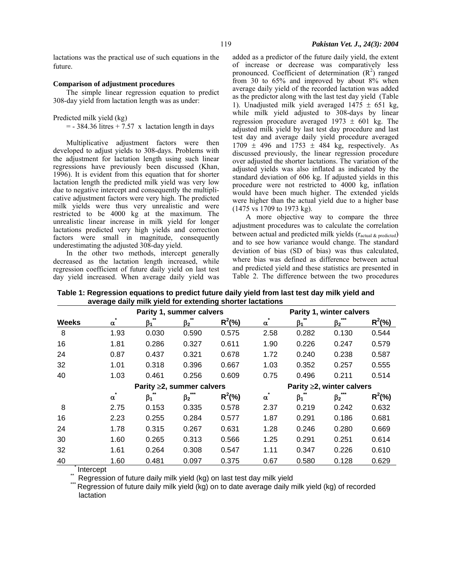lactations was the practical use of such equations in the future.

#### **Comparison of adjustment procedures**

The simple linear regression equation to predict 308-day yield from lactation length was as under:

Predicted milk yield (kg)

 $=$  - 384.36 litres + 7.57 x lactation length in days

Multiplicative adjustment factors were then developed to adjust yields to 308-days. Problems with the adjustment for lactation length using such linear regressions have previously been discussed (Khan, 1996). It is evident from this equation that for shorter lactation length the predicted milk yield was very low due to negative intercept and consequently the multiplicative adjustment factors were very high. The predicted milk yields were thus very unrealistic and were restricted to be 4000 kg at the maximum. The unrealistic linear increase in milk yield for longer lactations predicted very high yields and correction factors were small in magnitude, consequently underestimating the adjusted 308-day yield.

In the other two methods, intercept generally decreased as the lactation length increased, while regression coefficient of future daily yield on last test day yield increased. When average daily yield was

added as a predictor of the future daily yield, the extent of increase or decrease was comparatively less pronounced. Coefficient of determination  $(R^2)$  ranged from 30 to 65% and improved by about 8% when average daily yield of the recorded lactation was added as the predictor along with the last test day yield (Table 1). Unadjusted milk yield averaged  $1475 \pm 651$  kg, while milk yield adjusted to 308-days by linear regression procedure averaged  $1973 \pm 601$  kg. The adjusted milk yield by last test day procedure and last test day and average daily yield procedure averaged  $1709 \pm 496$  and  $1753 \pm 484$  kg, respectively. As discussed previously, the linear regression procedure over adjusted the shorter lactations. The variation of the adjusted yields was also inflated as indicated by the standard deviation of 606 kg. If adjusted yields in this procedure were not restricted to 4000 kg, inflation would have been much higher. The extended yields were higher than the actual yield due to a higher base (1475 vs 1709 to 1973 kg).

A more objective way to compare the three adjustment procedures was to calculate the correlation between actual and predicted milk yields (ractual & predicted) and to see how variance would change. The standard deviation of bias (SD of bias) was thus calculated, where bias was defined as difference between actual and predicted yield and these statistics are presented in Table 2. The difference between the two procedures

**Table 1: Regression equations to predict future daily yield from last test day milk yield and average daily milk yield for extending shorter lactations** 

|              |          | Parity 1, summer calvers        |           |            |          |                                 | Parity 1, winter calvers |            |  |  |
|--------------|----------|---------------------------------|-----------|------------|----------|---------------------------------|--------------------------|------------|--|--|
| <b>Weeks</b> | $\alpha$ | $\beta_1$                       | $\beta_2$ | $R^2(\% )$ | α        | $\beta_1$                       | $\beta_2$                | $R^2(\% )$ |  |  |
| 8            | 1.93     | 0.030                           | 0.590     | 0.575      | 2.58     | 0.282                           | 0.130                    | 0.544      |  |  |
| 16           | 1.81     | 0.286                           | 0.327     | 0.611      | 1.90     | 0.226                           | 0.247                    | 0.579      |  |  |
| 24           | 0.87     | 0.437                           | 0.321     | 0.678      | 1.72     | 0.240                           | 0.238                    | 0.587      |  |  |
| 32           | 1.01     | 0.318                           | 0.396     | 0.667      | 1.03     | 0.352                           | 0.257                    | 0.555      |  |  |
| 40           | 1.03     | 0.461                           | 0.256     | 0.609      | 0.75     | 0.496                           | 0.211                    | 0.514      |  |  |
|              |          | Parity $\geq$ 2, summer calvers |           |            |          | Parity $\geq$ 2, winter calvers |                          |            |  |  |
|              | $\alpha$ | $\beta_1$                       | $\beta_2$ | $R^2(\% )$ | $\alpha$ | $\beta_1$                       | $\beta_2$                | $R^2(\% )$ |  |  |
| 8            | 2.75     | 0.153                           | 0.335     | 0.578      | 2.37     | 0.219                           | 0.242                    | 0.632      |  |  |
| 16           | 2.23     | 0.255                           | 0.284     | 0.577      | 1.87     | 0.291                           | 0.186                    | 0.681      |  |  |
| 24           | 1.78     | 0.315                           | 0.267     | 0.631      | 1.28     | 0.246                           | 0.280                    | 0.669      |  |  |
| 30           | 1.60     | 0.265                           | 0.313     | 0.566      | 1.25     | 0.291                           | 0.251                    | 0.614      |  |  |
| 32           | 1.61     | 0.264                           | 0.308     | 0.547      | 1.11     | 0.347                           | 0.226                    | 0.610      |  |  |
| 40           | 1.60     | 0.481                           | 0.097     | 0.375      | 0.67     | 0.580                           | 0.128                    | 0.629      |  |  |

Intercept<br> Regression of future daily milk yield (kg) on last test day milk yield<br> Regression of future daily milk yield (kg) on to date average daily milk yield (kg) of recorded lactation